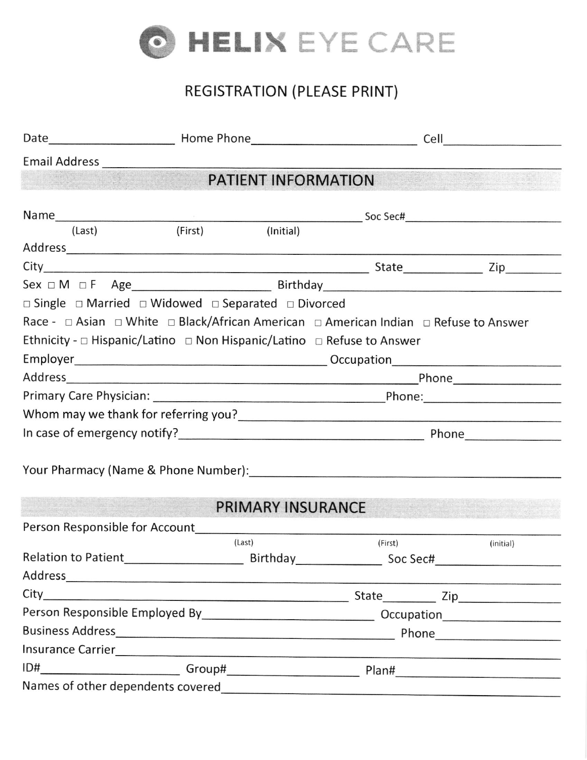

# REGISTRATION (PLEASE PRINT)

|                                   | <b>PATIENT INFORMATION</b>                                                            |                          |         |  |           |  |
|-----------------------------------|---------------------------------------------------------------------------------------|--------------------------|---------|--|-----------|--|
|                                   |                                                                                       |                          |         |  |           |  |
| (Last)                            | (First)                                                                               | (Initial)                |         |  |           |  |
|                                   |                                                                                       |                          |         |  |           |  |
|                                   |                                                                                       |                          |         |  |           |  |
|                                   |                                                                                       |                          |         |  |           |  |
|                                   | $\Box$ Single $\Box$ Married $\Box$ Widowed $\Box$ Separated $\Box$ Divorced          |                          |         |  |           |  |
|                                   | Race - □ Asian □ White □ Black/African American □ American Indian □ Refuse to Answer  |                          |         |  |           |  |
|                                   | Ethnicity - $\Box$ Hispanic/Latino $\Box$ Non Hispanic/Latino $\Box$ Refuse to Answer |                          |         |  |           |  |
|                                   |                                                                                       |                          |         |  |           |  |
|                                   |                                                                                       |                          |         |  |           |  |
|                                   |                                                                                       |                          |         |  |           |  |
|                                   |                                                                                       |                          |         |  |           |  |
|                                   |                                                                                       |                          |         |  |           |  |
|                                   |                                                                                       |                          |         |  |           |  |
|                                   |                                                                                       |                          |         |  |           |  |
|                                   |                                                                                       |                          |         |  |           |  |
|                                   |                                                                                       | <b>PRIMARY INSURANCE</b> |         |  |           |  |
|                                   |                                                                                       |                          |         |  |           |  |
|                                   | (Last)                                                                                |                          | (First) |  | (initial) |  |
|                                   |                                                                                       |                          |         |  |           |  |
|                                   |                                                                                       |                          |         |  |           |  |
|                                   |                                                                                       |                          |         |  |           |  |
|                                   |                                                                                       |                          |         |  |           |  |
|                                   |                                                                                       |                          |         |  |           |  |
|                                   |                                                                                       |                          |         |  |           |  |
|                                   |                                                                                       |                          |         |  |           |  |
| Names of other dependents covered |                                                                                       |                          |         |  |           |  |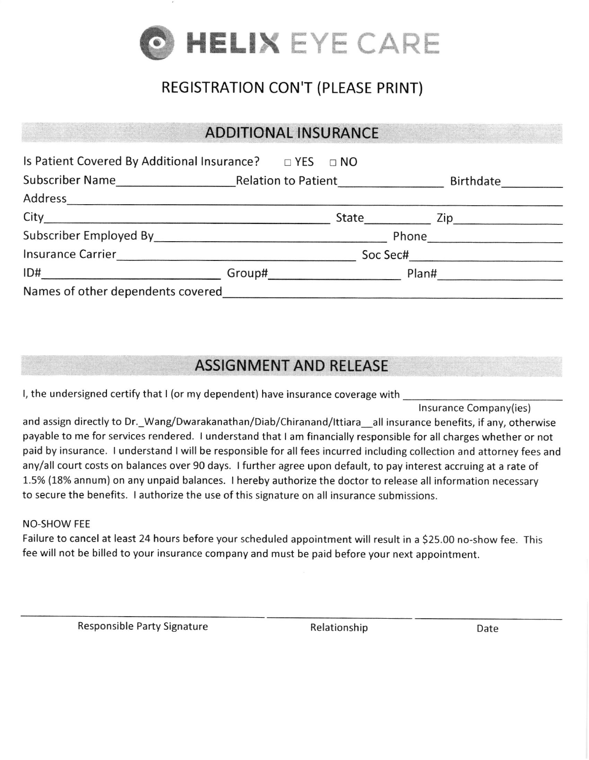

## REGISTRATION CON'T (PLEASE PRINT)

#### ADDITIONAL lNSURANCE

|                                   |  |  | <b>Birthdate</b>   |
|-----------------------------------|--|--|--------------------|
|                                   |  |  |                    |
|                                   |  |  |                    |
|                                   |  |  |                    |
|                                   |  |  | Soc Sec#           |
| ID#                               |  |  | Group# Plan# Plane |
| Names of other dependents covered |  |  |                    |

### ASSIGNMENT AND RELEASE

l, the undersigned certify that I (or my dependent) have insurance coverage with

lnsurance Company(ies)

and assign directly to Dr.\_Wang/Dwarakanathan/Diab/Chiranand/Ittiara\_all insurance benefits, if any, otherwise payable to me for services rendered. I understand that I am financially responsible for all charges whether or not paid by insurance. I understand I will be responsible for all fees incurred including collection and attorney fees and any/all court costs on balances over 90 days. I further agree upon default, to pay interest accruing at a rate of 1.5% (18% annum) on any unpaid balances. I hereby authorize the doctor to release all information necessary to secure the benefits. I authorize the use of this signature on all insurance submissions.

#### NO-SHOW FEE

Failure to cancel at least 24 hours before your scheduled appointment will result in a 525.00 no-show fee. This fee will not be billed to your insurance company and must be paid before your next appointment.

Responsible Party Signature The Relationship Relationship